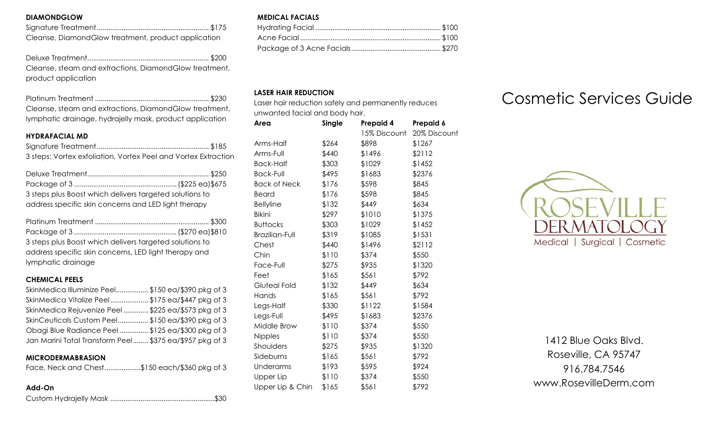## **DIAMONDGLOW**

| Cleanse, Diamond Glow treatment, product application |
|------------------------------------------------------|

Deluxe Treatment................................................................ \$200 Cleanse, steam and extractions, DiamondGlow treatment, product application

| Cleanse, steam and extractions, Diamond Glow treatment,  |  |
|----------------------------------------------------------|--|
| lymphatic drainage, hydrajelly mask, product application |  |

#### **HYDRAFACIAL MD**

Signature Treatment........................................................... \$185 3 steps: Vortex exfoliation, Vortex Peel and Vortex Extraction

| 3 steps plus Boost which delivers targeted solutions to |  |
|---------------------------------------------------------|--|
| address specific skin concerns and LED light therapy    |  |

| 3 steps plus Boost which delivers targeted solutions to |  |
|---------------------------------------------------------|--|
| address specific skin concerns, LED light therapy and   |  |
| lymphatic drainage                                      |  |

#### **CHEMICAL PEELS**

| SkinMedica Illuminize Peel\$150 ea/\$390 pkg of 3       |  |
|---------------------------------------------------------|--|
| SkinMedica Vitalize Peel\$175 ea/\$447 pkg of 3         |  |
| SkinMedica Rejuvenize Peel \$225 ea/\$573 pkg of 3      |  |
| SkinCeuticals Custom Peel\$150 ea/\$390 pkg of 3        |  |
| Obagi Blue Radiance Peel \$125 ea/\$300 pkg of 3        |  |
| Jan Marini Total Transform Peel \$375 ea/\$957 pkg of 3 |  |

# **MICRODERMABRASION**

## **Add-On**

Custom Hydrajelly Mask .......................................................\$30

#### **MEDICAL FACIALS**

## **LASER HAIR REDUCTION**

Laser hair reduction safely and permanently reduces unwanted facial and body hair.

| Area                  | Single | Prepaid 4    | Prepaid 6    |
|-----------------------|--------|--------------|--------------|
|                       |        | 15% Discount | 20% Discount |
| Arms-Half             | \$264  | \$898        | \$1267       |
| Arms-Full             | \$440  | \$1496       | \$2112       |
| Back-Half             | \$303  | \$1029       | \$1452       |
| <b>Back-Full</b>      | \$495  | \$1683       | \$2376       |
| <b>Back of Neck</b>   | \$176  | \$598        | \$845        |
| Beard                 | \$176  | \$598        | \$845        |
| <b>Bellyline</b>      | \$132  | \$449        | \$634        |
| <b>Bikini</b>         | \$297  | \$1010       | \$1375       |
| <b>Buttocks</b>       | \$303  | \$1029       | \$1452       |
| <b>Brazilian-Full</b> | \$319  | \$1085       | \$1531       |
| Chest                 | \$440  | \$1496       | \$2112       |
| Chin                  | \$110  | \$374        | \$550        |
| Face-Full             | \$275  | \$935        | \$1320       |
| Feet                  | \$165  | \$561        | \$792        |
| Gluteal Fold          | \$132  | \$449        | \$634        |
| Hands                 | \$165  | \$561        | \$792        |
| Legs-Half             | \$330  | \$1122       | \$1584       |
| Legs-Full             | \$495  | \$1683       | \$2376       |
| Middle Brow           | \$110  | \$374        | \$550        |
| Nipples               | \$110  | \$374        | \$550        |
| Shoulders             | \$275  | \$935        | \$1320       |
| Sideburns             | \$165  | \$561        | \$792        |
| Underarms             | \$193  | \$595        | \$924        |
| Upper Lip             | \$110  | \$374        | \$550        |
| Upper Lip & Chin      | \$165  | \$561        | \$792        |

# Cosmetic Services Guide



1412 Blue Oaks Blvd. Roseville, CA 95747 916.784.7546 www.RosevilleDerm.com